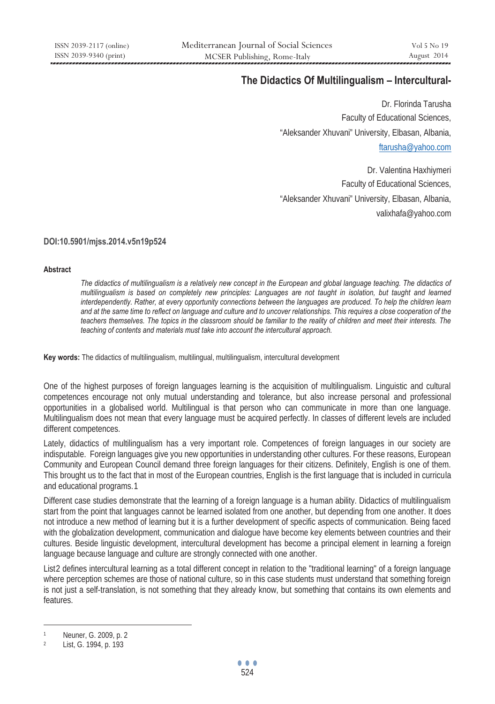# **The Didactics Of Multilingualism – Intercultural-**

Dr. Florinda Tarusha Faculty of Educational Sciences, "Aleksander Xhuvani" University, Elbasan, Albania, ftarusha@yahoo.com

Dr. Valentina Haxhiymeri Faculty of Educational Sciences, "Aleksander Xhuvani" University, Elbasan, Albania, valixhafa@yahoo.com

#### **DOI:10.5901/mjss.2014.v5n19p524**

#### **Abstract**

*The didactics of multilingualism is a relatively new concept in the European and global language teaching. The didactics of multilingualism is based on completely new principles: Languages are not taught in isolation, but taught and learned interdependently. Rather, at every opportunity connections between the languages are produced. To help the children learn and at the same time to reflect on language and culture and to uncover relationships. This requires a close cooperation of the teachers themselves. The topics in the classroom should be familiar to the reality of children and meet their interests. The teaching of contents and materials must take into account the intercultural approach.* 

**Key words:** The didactics of multilingualism, multilingual, multilingualism, intercultural development

One of the highest purposes of foreign languages learning is the acquisition of multilingualism. Linguistic and cultural competences encourage not only mutual understanding and tolerance, but also increase personal and professional opportunities in a globalised world. Multilingual is that person who can communicate in more than one language. Multilingualism does not mean that every language must be acquired perfectly. In classes of different levels are included different competences.

Lately, didactics of multilingualism has a very important role. Competences of foreign languages in our society are indisputable. Foreign languages give you new opportunities in understanding other cultures. For these reasons, European Community and European Council demand three foreign languages for their citizens. Definitely, English is one of them. This brought us to the fact that in most of the European countries, English is the first language that is included in curricula and educational programs.1

Different case studies demonstrate that the learning of a foreign language is a human ability. Didactics of multilingualism start from the point that languages cannot be learned isolated from one another, but depending from one another. It does not introduce a new method of learning but it is a further development of specific aspects of communication. Being faced with the globalization development, communication and dialogue have become key elements between countries and their cultures. Beside linguistic development, intercultural development has become a principal element in learning a foreign language because language and culture are strongly connected with one another.

List2 defines intercultural learning as a total different concept in relation to the "traditional learning" of a foreign language where perception schemes are those of national culture, so in this case students must understand that something foreign is not just a self-translation, is not something that they already know, but something that contains its own elements and features.

 $\overline{a}$ 

Neuner, G. 2009, p. 2<br>List, G. 1994, p. 193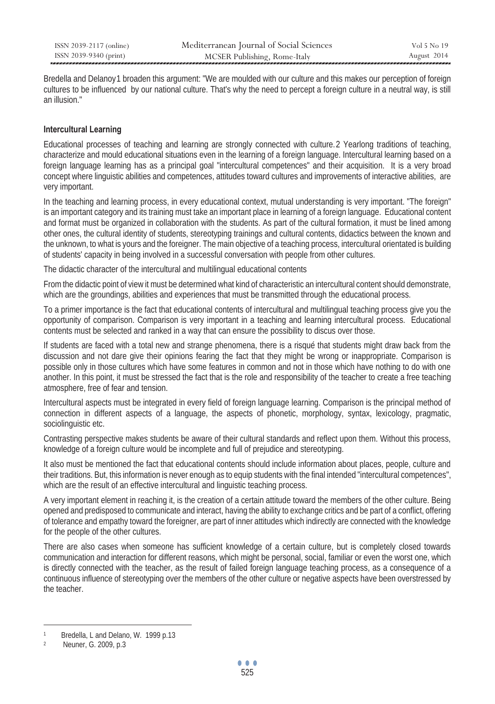| ISSN 2039-2117 (online) | Mediterranean Journal of Social Sciences | Vol 5 No 19 |
|-------------------------|------------------------------------------|-------------|
| ISSN 2039-9340 (print)  | MCSER Publishing, Rome-Italy             | August 2014 |

Bredella and Delanoy1 broaden this argument: "We are moulded with our culture and this makes our perception of foreign cultures to be influenced by our national culture. That's why the need to percept a foreign culture in a neutral way, is still an illusion."

### **Intercultural Learning**

Educational processes of teaching and learning are strongly connected with culture. 2 Yearlong traditions of teaching, characterize and mould educational situations even in the learning of a foreign language. Intercultural learning based on a foreign language learning has as a principal goal "intercultural competences" and their acquisition. It is a very broad concept where linguistic abilities and competences, attitudes toward cultures and improvements of interactive abilities, are very important.

In the teaching and learning process, in every educational context, mutual understanding is very important. "The foreign" is an important category and its training must take an important place in learning of a foreign language. Educational content and format must be organized in collaboration with the students. As part of the cultural formation, it must be lined among other ones, the cultural identity of students, stereotyping trainings and cultural contents, didactics between the known and the unknown, to what is yours and the foreigner. The main objective of a teaching process, intercultural orientated is building of students' capacity in being involved in a successful conversation with people from other cultures.

The didactic character of the intercultural and multilingual educational contents

From the didactic point of view it must be determined what kind of characteristic an intercultural content should demonstrate, which are the groundings, abilities and experiences that must be transmitted through the educational process.

To a primer importance is the fact that educational contents of intercultural and multilingual teaching process give you the opportunity of comparison. Comparison is very important in a teaching and learning intercultural process. Educational contents must be selected and ranked in a way that can ensure the possibility to discus over those.

If students are faced with a total new and strange phenomena, there is a risqué that students might draw back from the discussion and not dare give their opinions fearing the fact that they might be wrong or inappropriate. Comparison is possible only in those cultures which have some features in common and not in those which have nothing to do with one another. In this point, it must be stressed the fact that is the role and responsibility of the teacher to create a free teaching atmosphere, free of fear and tension.

Intercultural aspects must be integrated in every field of foreign language learning. Comparison is the principal method of connection in different aspects of a language, the aspects of phonetic, morphology, syntax, lexicology, pragmatic, sociolinguistic etc.

Contrasting perspective makes students be aware of their cultural standards and reflect upon them. Without this process, knowledge of a foreign culture would be incomplete and full of prejudice and stereotyping.

It also must be mentioned the fact that educational contents should include information about places, people, culture and their traditions. But, this information is never enough as to equip students with the final intended "intercultural competences", which are the result of an effective intercultural and linguistic teaching process.

A very important element in reaching it, is the creation of a certain attitude toward the members of the other culture. Being opened and predisposed to communicate and interact, having the ability to exchange critics and be part of a conflict, offering of tolerance and empathy toward the foreigner, are part of inner attitudes which indirectly are connected with the knowledge for the people of the other cultures.

There are also cases when someone has sufficient knowledge of a certain culture, but is completely closed towards communication and interaction for different reasons, which might be personal, social, familiar or even the worst one, which is directly connected with the teacher, as the result of failed foreign language teaching process, as a consequence of a continuous influence of stereotyping over the members of the other culture or negative aspects have been overstressed by the teacher.

 $\overline{a}$ 

Bredella, L and Delano, W. 1999 p.13<br>Neuner, G. 2009, p.3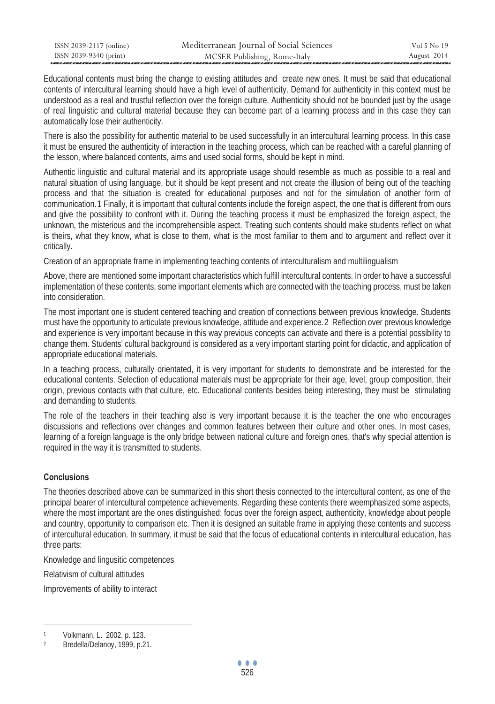| ISSN 2039-2117 (online) | Mediterranean Journal of Social Sciences | Vol 5 No 19 |
|-------------------------|------------------------------------------|-------------|
| ISSN 2039-9340 (print)  | MCSER Publishing, Rome-Italy             | August 2014 |

Educational contents must bring the change to existing attitudes and create new ones. It must be said that educational contents of intercultural learning should have a high level of authenticity. Demand for authenticity in this context must be understood as a real and trustful reflection over the foreign culture. Authenticity should not be bounded just by the usage of real linguistic and cultural material because they can become part of a learning process and in this case they can automatically lose their authenticity.

There is also the possibility for authentic material to be used successfully in an intercultural learning process. In this case it must be ensured the authenticity of interaction in the teaching process, which can be reached with a careful planning of the lesson, where balanced contents, aims and used social forms, should be kept in mind.

Authentic linguistic and cultural material and its appropriate usage should resemble as much as possible to a real and natural situation of using language, but it should be kept present and not create the illusion of being out of the teaching process and that the situation is created for educational purposes and not for the simulation of another form of communication. 1 Finally, it is important that cultural contents include the foreign aspect, the one that is different from ours and give the possibility to confront with it. During the teaching process it must be emphasized the foreign aspect, the unknown, the misterious and the incomprehensible aspect. Treating such contents should make students reflect on what is theirs, what they know, what is close to them, what is the most familiar to them and to argument and reflect over it critically.

Creation of an appropriate frame in implementing teaching contents of interculturalism and multilingualism

Above, there are mentioned some important characteristics which fulfill intercultural contents. In order to have a successful implementation of these contents, some important elements which are connected with the teaching process, must be taken into consideration.

The most important one is student centered teaching and creation of connections between previous knowledge. Students must have the opportunity to articulate previous knowledge, attitude and experience. 2 Reflection over previous knowledge and experience is very important because in this way previous concepts can activate and there is a potential possibility to change them. Students' cultural background is considered as a very important starting point for didactic, and application of appropriate educational materials.

In a teaching process, culturally orientated, it is very important for students to demonstrate and be interested for the educational contents. Selection of educational materials must be appropriate for their age, level, group composition, their origin, previous contacts with that culture, etc. Educational contents besides being interesting, they must be stimulating and demanding to students.

The role of the teachers in their teaching also is very important because it is the teacher the one who encourages discussions and reflections over changes and common features between their culture and other ones. In most cases, learning of a foreign language is the only bridge between national culture and foreign ones, that's why special attention is required in the way it is transmitted to students.

## **Conclusions**

 $\overline{a}$ 

The theories described above can be summarized in this short thesis connected to the intercultural content, as one of the principal bearer of intercultural competence achievements. Regarding these contents there weemphasized some aspects, where the most important are the ones distinguished: focus over the foreign aspect, authenticity, knowledge about people and country, opportunity to comparison etc. Then it is designed an suitable frame in applying these contents and success of intercultural education. In summary, it must be said that the focus of educational contents in intercultural education, has three parts:

Knowledge and lingusitic competences

Relativism of cultural attitudes

Improvements of ability to interact

Volkmann, L. 2002, p. 123.<br>Bredella/Delanoy, 1999, p.21.